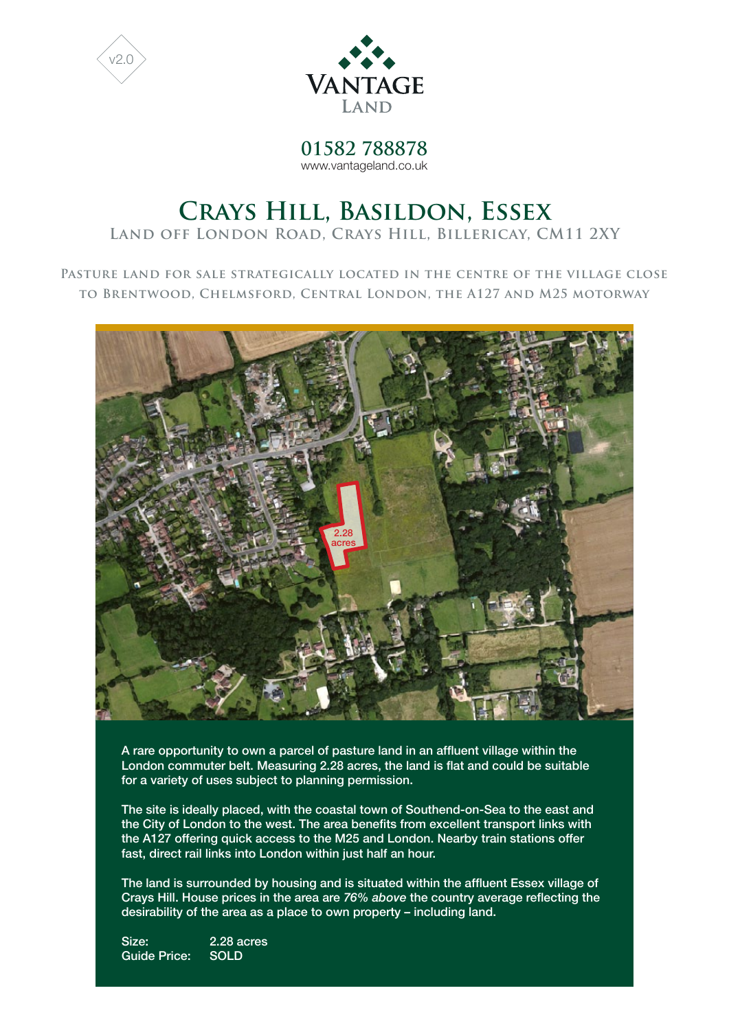



**01582 788878** www.vantageland.co.uk

# **Crays Hill, Basildon, Essex**

**Land off London Road, Crays Hill, Billericay, CM11 2XY**

**Pasture land for sale strategically located in the centre of the village close to Brentwood, Chelmsford, Central London, the A127 and M25 motorway**



A rare opportunity to own a parcel of pasture land in an affluent village within the London commuter belt. Measuring 2.28 acres, the land is flat and could be suitable for a variety of uses subject to planning permission.

The site is ideally placed, with the coastal town of Southend-on-Sea to the east and the City of London to the west. The area benefits from excellent transport links with the A127 offering quick access to the M25 and London. Nearby train stations offer fast, direct rail links into London within just half an hour.

The land is surrounded by housing and is situated within the affluent Essex village of Crays Hill. House prices in the area are *76% above* the country average reflecting the desirability of the area as a place to own property – including land.

Size: 2.28 acres Guide Price: SOLD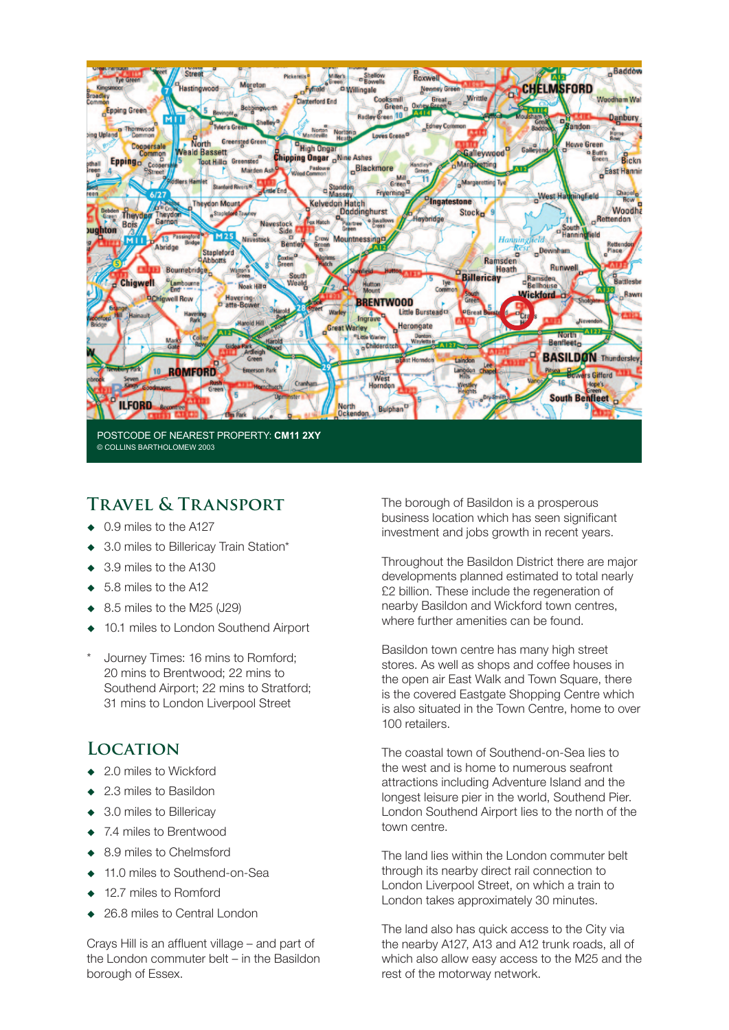

### **Travel & Transport**

- ◆ 0.9 miles to the A127
- ◆ 3.0 miles to Billericay Train Station\*
- 3.9 miles to the A130
- 5.8 miles to the A12
- 8.5 miles to the M25 (J29)
- 10.1 miles to London Southend Airport
- Journey Times: 16 mins to Romford; 20 mins to Brentwood; 22 mins to Southend Airport; 22 mins to Stratford; 31 mins to London Liverpool Street

#### **Location**

- 2.0 miles to Wickford
- ◆ 2.3 miles to Basildon
- ◆ 3.0 miles to Billericay
- ◆ 7.4 miles to Brentwood
- 8.9 miles to Chelmsford
- 11.0 miles to Southend-on-Sea
- 12.7 miles to Romford
- 26.8 miles to Central London

Crays Hill is an affluent village – and part of the London commuter belt – in the Basildon borough of Essex.

The borough of Basildon is a prosperous business location which has seen significant investment and jobs growth in recent years.

Throughout the Basildon District there are major developments planned estimated to total nearly £2 billion. These include the regeneration of nearby Basildon and Wickford town centres, where further amenities can be found.

Basildon town centre has many high street stores. As well as shops and coffee houses in the open air East Walk and Town Square, there is the covered Eastgate Shopping Centre which is also situated in the Town Centre, home to over 100 retailers.

The coastal town of Southend-on-Sea lies to the west and is home to numerous seafront attractions including Adventure Island and the longest leisure pier in the world, Southend Pier. London Southend Airport lies to the north of the town centre.

The land lies within the London commuter belt through its nearby direct rail connection to London Liverpool Street, on which a train to London takes approximately 30 minutes.

The land also has quick access to the City via the nearby A127, A13 and A12 trunk roads, all of which also allow easy access to the M25 and the rest of the motorway network.